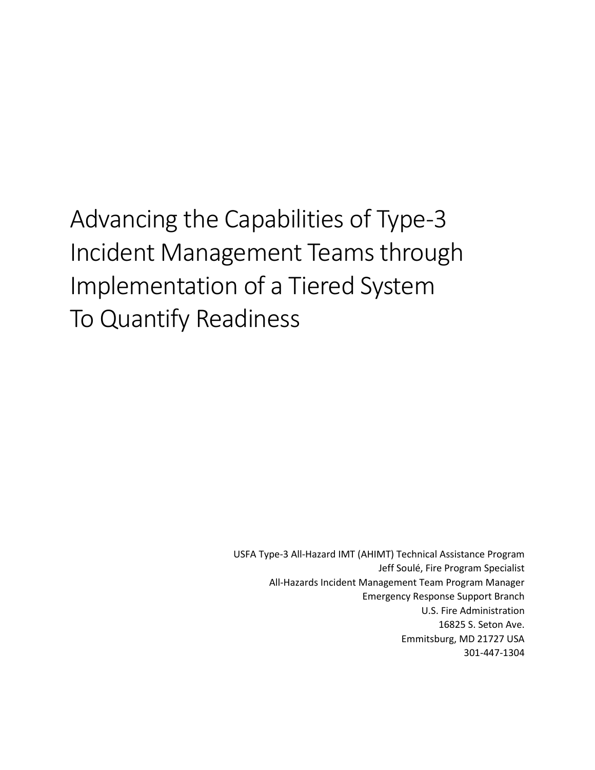Advancing the Capabilities of Type-3 Incident Management Teams through Implementation of a Tiered System To Quantify Readiness

> USFA Type-3 All-Hazard IMT (AHIMT) Technical Assistance Program Jeff Soulé, Fire Program Specialist All-Hazards Incident Management Team Program Manager Emergency Response Support Branch U.S. Fire Administration 16825 S. Seton Ave. Emmitsburg, MD 21727 USA 301-447-1304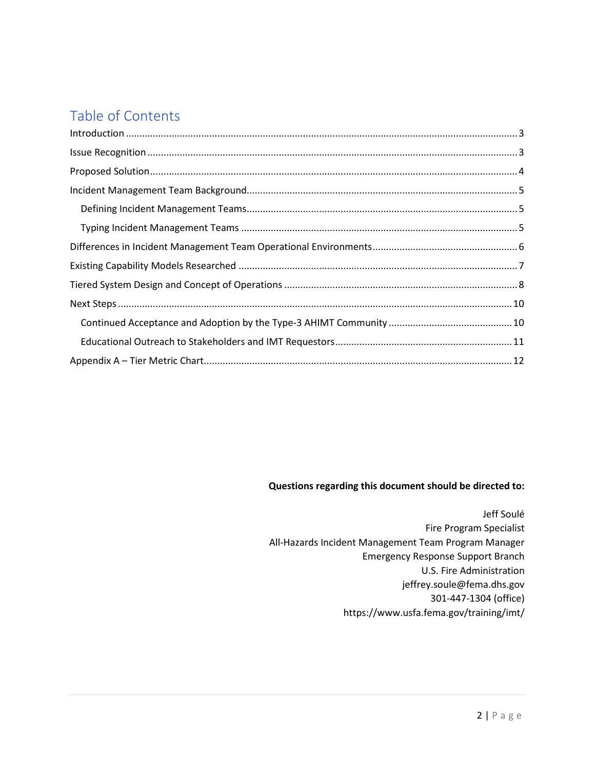# Table of Contents

| $\label{eq:1} \mbox{Introduction} \,\, \ldots \,\, \ldots \,\, \ldots \,\, \ldots \,\, \ldots \,\, \ldots \,\, \ldots \,\, \ldots \,\, \ldots \,\, \ldots \,\, \ldots \,\, \ldots \,\, \ldots \,\, \ldots \,\, \ldots \,\, \ldots \,\, \ldots \,\, \ldots \,\, \ldots \,\, \ldots \,\, \ldots \,\, \ldots \,\, \ldots \,\, \ldots \,\, \ldots \,\, \ldots \,\, \ldots \,\, \ldots \,\, \ldots \,\, \ldots \,\, \ldots \,\, \ldots \,\, \ldots \,\, \ldots \,\,$ |  |
|-----------------------------------------------------------------------------------------------------------------------------------------------------------------------------------------------------------------------------------------------------------------------------------------------------------------------------------------------------------------------------------------------------------------------------------------------------------------|--|
|                                                                                                                                                                                                                                                                                                                                                                                                                                                                 |  |
|                                                                                                                                                                                                                                                                                                                                                                                                                                                                 |  |
|                                                                                                                                                                                                                                                                                                                                                                                                                                                                 |  |
|                                                                                                                                                                                                                                                                                                                                                                                                                                                                 |  |
|                                                                                                                                                                                                                                                                                                                                                                                                                                                                 |  |
|                                                                                                                                                                                                                                                                                                                                                                                                                                                                 |  |
|                                                                                                                                                                                                                                                                                                                                                                                                                                                                 |  |
|                                                                                                                                                                                                                                                                                                                                                                                                                                                                 |  |
|                                                                                                                                                                                                                                                                                                                                                                                                                                                                 |  |
|                                                                                                                                                                                                                                                                                                                                                                                                                                                                 |  |
|                                                                                                                                                                                                                                                                                                                                                                                                                                                                 |  |
|                                                                                                                                                                                                                                                                                                                                                                                                                                                                 |  |

#### **Questions regarding this document should be directed to:**

Jeff Soulé Fire Program Specialist All-Hazards Incident Management Team Program Manager Emergency Response Support Branch U.S. Fire Administration jeffrey.soule@fema.dhs.gov 301-447-1304 (office) https://www.usfa.fema.gov/training/imt/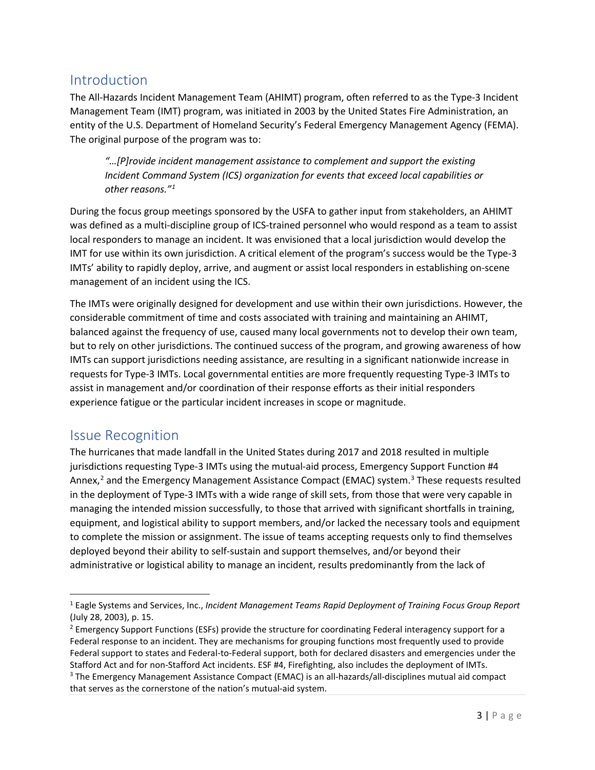## <span id="page-2-0"></span>Introduction

The All-Hazards Incident Management Team (AHIMT) program, often referred to as the Type-3 Incident Management Team (IMT) program, was initiated in 2003 by the United States Fire Administration, an entity of the U.S. Department of Homeland Security's Federal Emergency Management Agency (FEMA). The original purpose of the program was to:

*"…[P]rovide incident management assistance to complement and support the existing Incident Command System (ICS) organization for events that exceed local capabilities or other reasons."[1](#page-2-2)*

During the focus group meetings sponsored by the USFA to gather input from stakeholders, an AHIMT was defined as a multi-discipline group of ICS-trained personnel who would respond as a team to assist local responders to manage an incident. It was envisioned that a local jurisdiction would develop the IMT for use within its own jurisdiction. A critical element of the program's success would be the Type-3 IMTs' ability to rapidly deploy, arrive, and augment or assist local responders in establishing on-scene management of an incident using the ICS.

The IMTs were originally designed for development and use within their own jurisdictions. However, the considerable commitment of time and costs associated with training and maintaining an AHIMT, balanced against the frequency of use, caused many local governments not to develop their own team, but to rely on other jurisdictions. The continued success of the program, and growing awareness of how IMTs can support jurisdictions needing assistance, are resulting in a significant nationwide increase in requests for Type-3 IMTs. Local governmental entities are more frequently requesting Type-3 IMTs to assist in management and/or coordination of their response efforts as their initial responders experience fatigue or the particular incident increases in scope or magnitude.

## <span id="page-2-1"></span>Issue Recognition

The hurricanes that made landfall in the United States during 2017 and 2018 resulted in multiple jurisdictions requesting Type-3 IMTs using the mutual-aid process, Emergency Support Function #4 Annex,<sup>[2](#page-2-3)</sup> and the Emergency Management Assistance Compact (EMAC) system.<sup>[3](#page-2-4)</sup> These requests resulted in the deployment of Type-3 IMTs with a wide range of skill sets, from those that were very capable in managing the intended mission successfully, to those that arrived with significant shortfalls in training, equipment, and logistical ability to support members, and/or lacked the necessary tools and equipment to complete the mission or assignment. The issue of teams accepting requests only to find themselves deployed beyond their ability to self-sustain and support themselves, and/or beyond their administrative or logistical ability to manage an incident, results predominantly from the lack of

<span id="page-2-2"></span><sup>1</sup> Eagle Systems and Services, Inc., *Incident Management Teams Rapid Deployment of Training Focus Group Report* (July 28, 2003), p. 15.

<span id="page-2-4"></span><span id="page-2-3"></span><sup>&</sup>lt;sup>2</sup> Emergency Support Functions (ESFs) provide the structure for coordinating Federal interagency support for a Federal response to an incident. They are mechanisms for grouping functions most frequently used to provide Federal support to states and Federal-to-Federal support, both for declared disasters and emergencies under the Stafford Act and for non-Stafford Act incidents. ESF #4, Firefighting, also includes the deployment of IMTs.<br><sup>3</sup> The Emergency Management Assistance Compact (EMAC) is an all-hazards/all-disciplines mutual aid compact that serves as the cornerstone of the nation's mutual-aid system.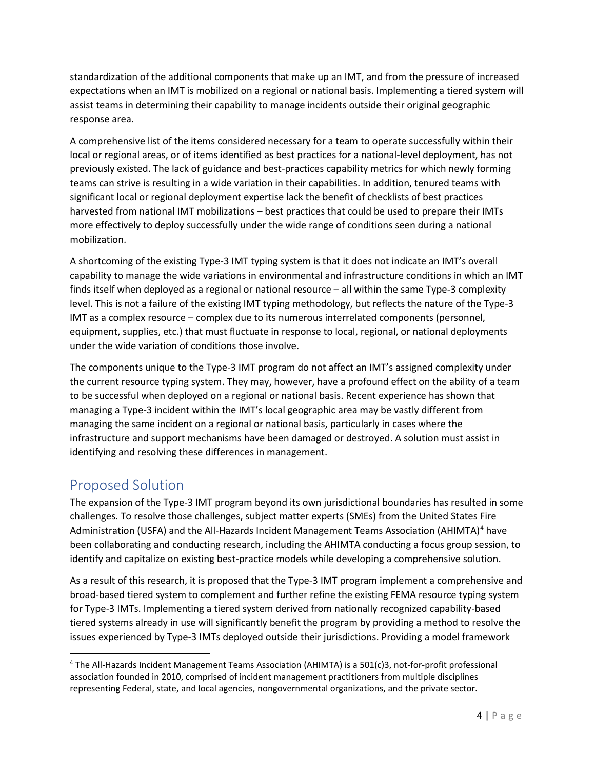standardization of the additional components that make up an IMT, and from the pressure of increased expectations when an IMT is mobilized on a regional or national basis. Implementing a tiered system will assist teams in determining their capability to manage incidents outside their original geographic response area.

A comprehensive list of the items considered necessary for a team to operate successfully within their local or regional areas, or of items identified as best practices for a national-level deployment, has not previously existed. The lack of guidance and best-practices capability metrics for which newly forming teams can strive is resulting in a wide variation in their capabilities. In addition, tenured teams with significant local or regional deployment expertise lack the benefit of checklists of best practices harvested from national IMT mobilizations – best practices that could be used to prepare their IMTs more effectively to deploy successfully under the wide range of conditions seen during a national mobilization.

A shortcoming of the existing Type-3 IMT typing system is that it does not indicate an IMT's overall capability to manage the wide variations in environmental and infrastructure conditions in which an IMT finds itself when deployed as a regional or national resource – all within the same Type-3 complexity level. This is not a failure of the existing IMT typing methodology, but reflects the nature of the Type-3 IMT as a complex resource – complex due to its numerous interrelated components (personnel, equipment, supplies, etc.) that must fluctuate in response to local, regional, or national deployments under the wide variation of conditions those involve.

The components unique to the Type-3 IMT program do not affect an IMT's assigned complexity under the current resource typing system. They may, however, have a profound effect on the ability of a team to be successful when deployed on a regional or national basis. Recent experience has shown that managing a Type-3 incident within the IMT's local geographic area may be vastly different from managing the same incident on a regional or national basis, particularly in cases where the infrastructure and support mechanisms have been damaged or destroyed. A solution must assist in identifying and resolving these differences in management.

## <span id="page-3-0"></span>Proposed Solution

The expansion of the Type-3 IMT program beyond its own jurisdictional boundaries has resulted in some challenges. To resolve those challenges, subject matter experts (SMEs) from the United States Fire Administration (USFA) and the All-Hazards Incident Management Teams Association (AHIMTA)<sup>[4](#page-3-1)</sup> have been collaborating and conducting research, including the AHIMTA conducting a focus group session, to identify and capitalize on existing best-practice models while developing a comprehensive solution.

As a result of this research, it is proposed that the Type-3 IMT program implement a comprehensive and broad-based tiered system to complement and further refine the existing FEMA resource typing system for Type-3 IMTs. Implementing a tiered system derived from nationally recognized capability-based tiered systems already in use will significantly benefit the program by providing a method to resolve the issues experienced by Type-3 IMTs deployed outside their jurisdictions. Providing a model framework

<span id="page-3-1"></span><sup>4</sup> The All-Hazards Incident Management Teams Association (AHIMTA) is a 501(c)3, not-for-profit professional association founded in 2010, comprised of incident management practitioners from multiple disciplines representing Federal, state, and local agencies, nongovernmental organizations, and the private sector.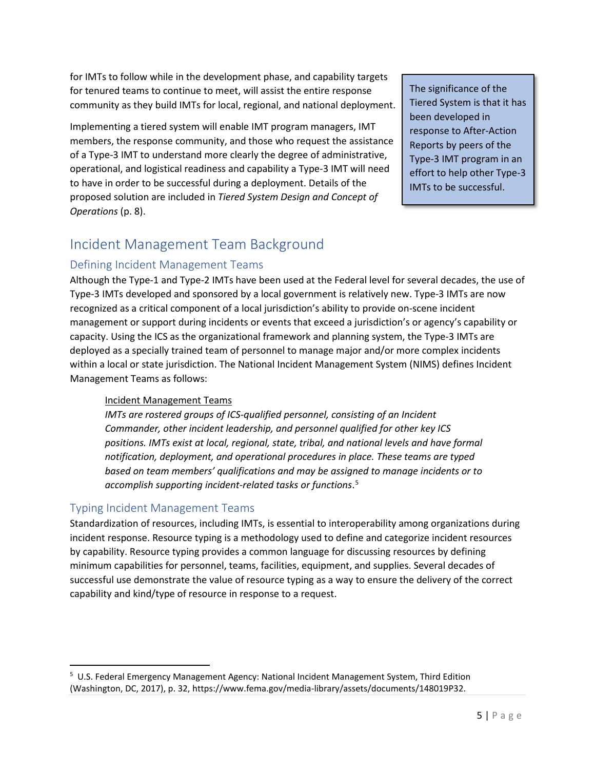for IMTs to follow while in the development phase, and capability targets for tenured teams to continue to meet, will assist the entire response community as they build IMTs for local, regional, and national deployment.

Implementing a tiered system will enable IMT program managers, IMT members, the response community, and those who request the assistance of a Type-3 IMT to understand more clearly the degree of administrative, operational, and logistical readiness and capability a Type-3 IMT will need to have in order to be successful during a deployment. Details of the proposed solution are included in *Tiered System Design and Concept of Operations* (p. 8).

The significance of the Tiered System is that it has been developed in response to After-Action Reports by peers of the Type-3 IMT program in an effort to help other Type-3 IMTs to be successful.

## <span id="page-4-0"></span>Incident Management Team Background

## <span id="page-4-1"></span>Defining Incident Management Teams

Although the Type-1 and Type-2 IMTs have been used at the Federal level for several decades, the use of Type-3 IMTs developed and sponsored by a local government is relatively new. Type-3 IMTs are now recognized as a critical component of a local jurisdiction's ability to provide on-scene incident management or support during incidents or events that exceed a jurisdiction's or agency's capability or capacity. Using the ICS as the organizational framework and planning system, the Type-3 IMTs are deployed as a specially trained team of personnel to manage major and/or more complex incidents within a local or state jurisdiction. The National Incident Management System (NIMS) defines Incident Management Teams as follows:

#### Incident Management Teams

*IMTs are rostered groups of ICS-qualified personnel, consisting of an Incident Commander, other incident leadership, and personnel qualified for other key ICS positions. IMTs exist at local, regional, state, tribal, and national levels and have formal notification, deployment, and operational procedures in place. These teams are typed based on team members' qualifications and may be assigned to manage incidents or to accomplish supporting incident-related tasks or functions*. [5](#page-4-3)

## <span id="page-4-2"></span>Typing Incident Management Teams

Standardization of resources, including IMTs, is essential to interoperability among organizations during incident response. Resource typing is a methodology used to define and categorize incident resources by capability. Resource typing provides a common language for discussing resources by defining minimum capabilities for personnel, teams, facilities, equipment, and supplies. Several decades of successful use demonstrate the value of resource typing as a way to ensure the delivery of the correct capability and kind/type of resource in response to a request.

<span id="page-4-3"></span><sup>&</sup>lt;sup>5</sup> U.S. Federal Emergency Management Agency: National Incident Management System, Third Edition (Washington, DC, 2017), p. 32, https://www.fema.gov/media-library/assets/documents/148019P32.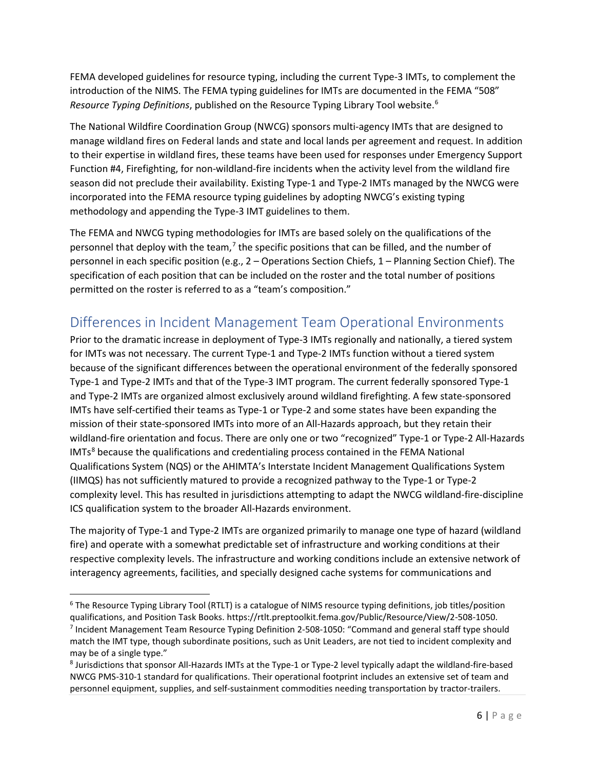FEMA developed guidelines for resource typing, including the current Type-3 IMTs, to complement the introduction of the NIMS. The FEMA typing guidelines for IMTs are documented in the FEMA "508" *Resource Typing Definitions*, published on the Resource Typing Library Tool website.[6](#page-5-1)

The National Wildfire Coordination Group (NWCG) sponsors multi-agency IMTs that are designed to manage wildland fires on Federal lands and state and local lands per agreement and request. In addition to their expertise in wildland fires, these teams have been used for responses under Emergency Support Function #4, Firefighting, for non-wildland-fire incidents when the activity level from the wildland fire season did not preclude their availability. Existing Type-1 and Type-2 IMTs managed by the NWCG were incorporated into the FEMA resource typing guidelines by adopting NWCG's existing typing methodology and appending the Type-3 IMT guidelines to them.

The FEMA and NWCG typing methodologies for IMTs are based solely on the qualifications of the personnel that deploy with the team, $<sup>7</sup>$  $<sup>7</sup>$  $<sup>7</sup>$  the specific positions that can be filled, and the number of</sup> personnel in each specific position (e.g., 2 – Operations Section Chiefs, 1 – Planning Section Chief). The specification of each position that can be included on the roster and the total number of positions permitted on the roster is referred to as a "team's composition."

## <span id="page-5-0"></span>Differences in Incident Management Team Operational Environments

Prior to the dramatic increase in deployment of Type-3 IMTs regionally and nationally, a tiered system for IMTs was not necessary. The current Type-1 and Type-2 IMTs function without a tiered system because of the significant differences between the operational environment of the federally sponsored Type-1 and Type-2 IMTs and that of the Type-3 IMT program. The current federally sponsored Type-1 and Type-2 IMTs are organized almost exclusively around wildland firefighting. A few state-sponsored IMTs have self-certified their teams as Type-1 or Type-2 and some states have been expanding the mission of their state-sponsored IMTs into more of an All-Hazards approach, but they retain their wildland-fire orientation and focus. There are only one or two "recognized" Type-1 or Type-2 All-Hazards  $IMTs<sup>8</sup>$  $IMTs<sup>8</sup>$  $IMTs<sup>8</sup>$  because the qualifications and credentialing process contained in the FEMA National Qualifications System (NQS) or the AHIMTA's Interstate Incident Management Qualifications System (IIMQS) has not sufficiently matured to provide a recognized pathway to the Type-1 or Type-2 complexity level. This has resulted in jurisdictions attempting to adapt the NWCG wildland-fire-discipline ICS qualification system to the broader All-Hazards environment.

The majority of Type-1 and Type-2 IMTs are organized primarily to manage one type of hazard (wildland fire) and operate with a somewhat predictable set of infrastructure and working conditions at their respective complexity levels. The infrastructure and working conditions include an extensive network of interagency agreements, facilities, and specially designed cache systems for communications and

<span id="page-5-2"></span><span id="page-5-1"></span><sup>&</sup>lt;sup>6</sup> The Resource Typing Library Tool (RTLT) is a catalogue of NIMS resource typing definitions, job titles/position qualifications, and Position Task Books. https://rtlt.preptoolkit.fema.gov/Public/Resource/View/2-508-1050. <sup>7</sup> Incident Management Team Resource Typing Definition 2-508-1050: "Command and general staff type should match the IMT type, though subordinate positions, such as Unit Leaders, are not tied to incident complexity and may be of a single type."

<span id="page-5-3"></span><sup>8</sup> Jurisdictions that sponsor All-Hazards IMTs at the Type-1 or Type-2 level typically adapt the wildland-fire-based NWCG PMS-310-1 standard for qualifications. Their operational footprint includes an extensive set of team and personnel equipment, supplies, and self-sustainment commodities needing transportation by tractor-trailers.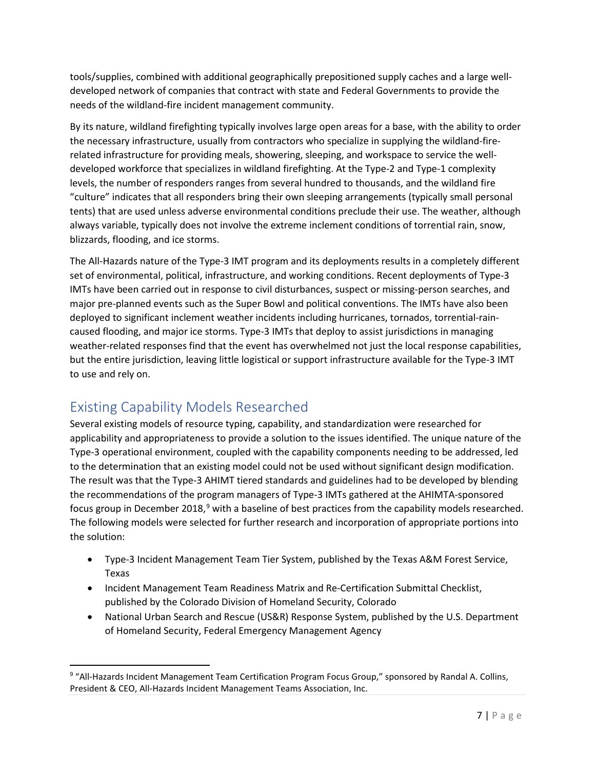tools/supplies, combined with additional geographically prepositioned supply caches and a large welldeveloped network of companies that contract with state and Federal Governments to provide the needs of the wildland-fire incident management community.

By its nature, wildland firefighting typically involves large open areas for a base, with the ability to order the necessary infrastructure, usually from contractors who specialize in supplying the wildland-firerelated infrastructure for providing meals, showering, sleeping, and workspace to service the welldeveloped workforce that specializes in wildland firefighting. At the Type-2 and Type-1 complexity levels, the number of responders ranges from several hundred to thousands, and the wildland fire "culture" indicates that all responders bring their own sleeping arrangements (typically small personal tents) that are used unless adverse environmental conditions preclude their use. The weather, although always variable, typically does not involve the extreme inclement conditions of torrential rain, snow, blizzards, flooding, and ice storms.

The All-Hazards nature of the Type-3 IMT program and its deployments results in a completely different set of environmental, political, infrastructure, and working conditions. Recent deployments of Type-3 IMTs have been carried out in response to civil disturbances, suspect or missing-person searches, and major pre-planned events such as the Super Bowl and political conventions. The IMTs have also been deployed to significant inclement weather incidents including hurricanes, tornados, torrential-raincaused flooding, and major ice storms. Type-3 IMTs that deploy to assist jurisdictions in managing weather-related responses find that the event has overwhelmed not just the local response capabilities, but the entire jurisdiction, leaving little logistical or support infrastructure available for the Type-3 IMT to use and rely on.

## <span id="page-6-0"></span>Existing Capability Models Researched

Several existing models of resource typing, capability, and standardization were researched for applicability and appropriateness to provide a solution to the issues identified. The unique nature of the Type-3 operational environment, coupled with the capability components needing to be addressed, led to the determination that an existing model could not be used without significant design modification. The result was that the Type-3 AHIMT tiered standards and guidelines had to be developed by blending the recommendations of the program managers of Type-3 IMTs gathered at the AHIMTA-sponsored focus group in December 2018,<sup>[9](#page-6-1)</sup> with a baseline of best practices from the capability models researched. The following models were selected for further research and incorporation of appropriate portions into the solution:

- Type-3 Incident Management Team Tier System, published by the Texas A&M Forest Service, Texas
- Incident Management Team Readiness Matrix and Re-Certification Submittal Checklist, published by the Colorado Division of Homeland Security, Colorado
- National Urban Search and Rescue (US&R) Response System, published by the U.S. Department of Homeland Security, Federal Emergency Management Agency

<span id="page-6-1"></span><sup>&</sup>lt;sup>9</sup> "All-Hazards Incident Management Team Certification Program Focus Group," sponsored by Randal A. Collins, President & CEO, All-Hazards Incident Management Teams Association, Inc.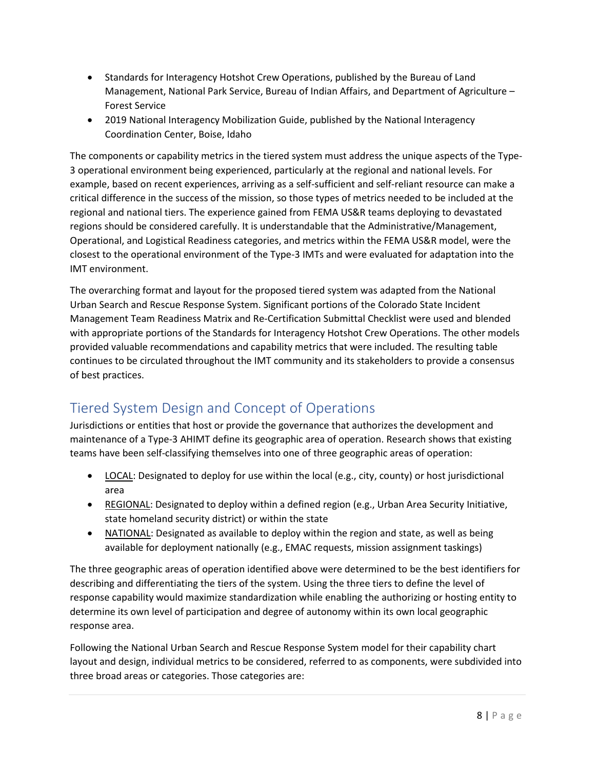- Standards for Interagency Hotshot Crew Operations, published by the Bureau of Land Management, National Park Service, Bureau of Indian Affairs, and Department of Agriculture – Forest Service
- 2019 National Interagency Mobilization Guide, published by the National Interagency Coordination Center, Boise, Idaho

The components or capability metrics in the tiered system must address the unique aspects of the Type-3 operational environment being experienced, particularly at the regional and national levels. For example, based on recent experiences, arriving as a self-sufficient and self-reliant resource can make a critical difference in the success of the mission, so those types of metrics needed to be included at the regional and national tiers. The experience gained from FEMA US&R teams deploying to devastated regions should be considered carefully. It is understandable that the Administrative/Management, Operational, and Logistical Readiness categories, and metrics within the FEMA US&R model, were the closest to the operational environment of the Type-3 IMTs and were evaluated for adaptation into the IMT environment.

The overarching format and layout for the proposed tiered system was adapted from the National Urban Search and Rescue Response System. Significant portions of the Colorado State Incident Management Team Readiness Matrix and Re-Certification Submittal Checklist were used and blended with appropriate portions of the Standards for Interagency Hotshot Crew Operations. The other models provided valuable recommendations and capability metrics that were included. The resulting table continues to be circulated throughout the IMT community and its stakeholders to provide a consensus of best practices.

# <span id="page-7-0"></span>Tiered System Design and Concept of Operations

Jurisdictions or entities that host or provide the governance that authorizes the development and maintenance of a Type-3 AHIMT define its geographic area of operation. Research shows that existing teams have been self-classifying themselves into one of three geographic areas of operation:

- LOCAL: Designated to deploy for use within the local (e.g., city, county) or host jurisdictional area
- REGIONAL: Designated to deploy within a defined region (e.g., Urban Area Security Initiative, state homeland security district) or within the state
- NATIONAL: Designated as available to deploy within the region and state, as well as being available for deployment nationally (e.g., EMAC requests, mission assignment taskings)

The three geographic areas of operation identified above were determined to be the best identifiers for describing and differentiating the tiers of the system. Using the three tiers to define the level of response capability would maximize standardization while enabling the authorizing or hosting entity to determine its own level of participation and degree of autonomy within its own local geographic response area.

Following the National Urban Search and Rescue Response System model for their capability chart layout and design, individual metrics to be considered, referred to as components, were subdivided into three broad areas or categories. Those categories are: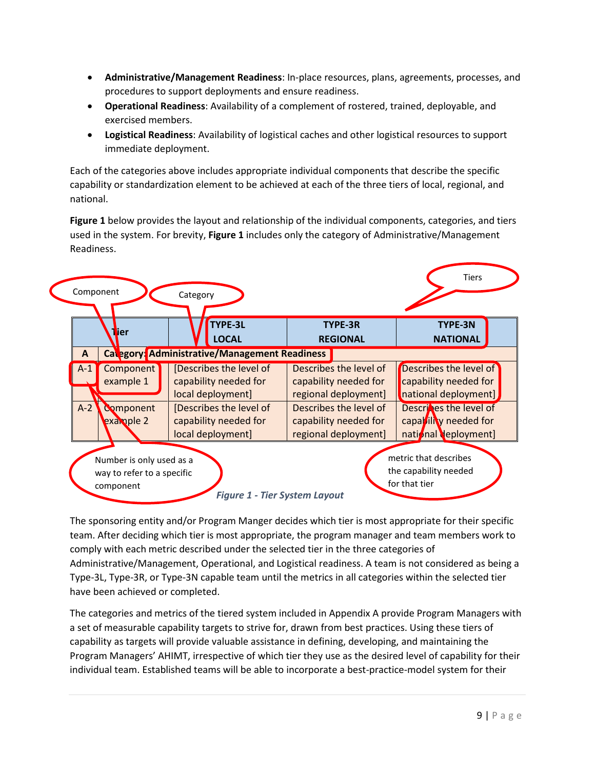- **Administrative/Management Readiness**: In-place resources, plans, agreements, processes, and procedures to support deployments and ensure readiness.
- **Operational Readiness**: Availability of a complement of rostered, trained, deployable, and exercised members.
- **Logistical Readiness**: Availability of logistical caches and other logistical resources to support immediate deployment.

Each of the categories above includes appropriate individual components that describe the specific capability or standardization element to be achieved at each of the three tiers of local, regional, and national.

**Figure 1** below provides the layout and relationship of the individual components, categories, and tiers used in the system. For brevity, **Figure 1** includes only the category of Administrative/Management Readiness.

|       | <b>N</b> ier                  | <b>TYPE-3L</b><br><b>LOCAL</b>                                        | TYPE-3R<br><b>REGIONAL</b>                                              | TYPE-3N<br><b>NATIONAL</b>                                               |
|-------|-------------------------------|-----------------------------------------------------------------------|-------------------------------------------------------------------------|--------------------------------------------------------------------------|
| A     |                               | Category: Administrative/Management Readiness                         |                                                                         |                                                                          |
| $A-1$ | Component<br>example 1        | [Describes the level of<br>capability needed for<br>local deployment] | Describes the level of<br>capability needed for<br>regional deployment] | Describes the level of<br>capability needed for<br>national deployment]  |
| $A-2$ | <b>Component</b><br>example 2 | [Describes the level of<br>capability needed for<br>local deployment] | Describes the level of<br>capability needed for<br>regional deployment] | Descriptes the level of<br>capability needed for<br>national deployment] |

The sponsoring entity and/or Program Manger decides which tier is most appropriate for their specific team. After deciding which tier is most appropriate, the program manager and team members work to comply with each metric described under the selected tier in the three categories of Administrative/Management, Operational, and Logistical readiness. A team is not considered as being a Type-3L, Type-3R, or Type-3N capable team until the metrics in all categories within the selected tier have been achieved or completed.

The categories and metrics of the tiered system included in Appendix A provide Program Managers with a set of measurable capability targets to strive for, drawn from best practices. Using these tiers of capability as targets will provide valuable assistance in defining, developing, and maintaining the Program Managers' AHIMT, irrespective of which tier they use as the desired level of capability for their individual team. Established teams will be able to incorporate a best-practice-model system for their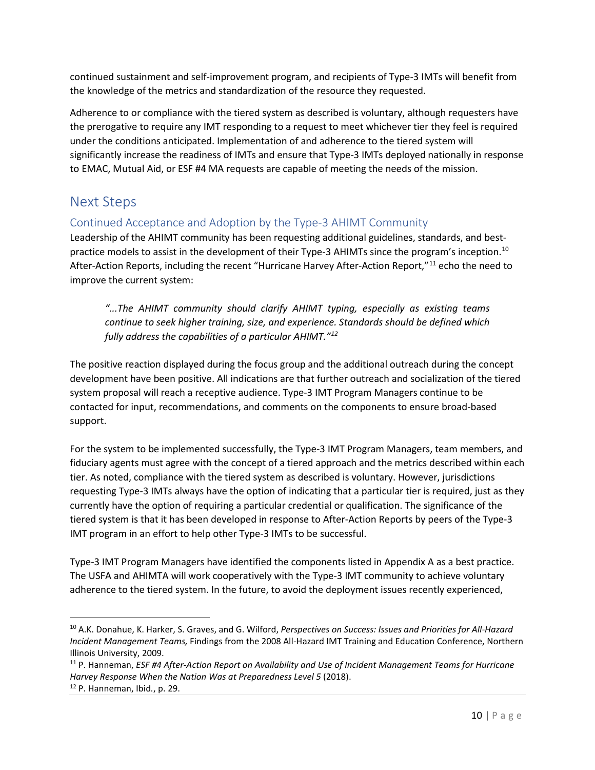continued sustainment and self-improvement program, and recipients of Type-3 IMTs will benefit from the knowledge of the metrics and standardization of the resource they requested.

Adherence to or compliance with the tiered system as described is voluntary, although requesters have the prerogative to require any IMT responding to a request to meet whichever tier they feel is required under the conditions anticipated. Implementation of and adherence to the tiered system will significantly increase the readiness of IMTs and ensure that Type-3 IMTs deployed nationally in response to EMAC, Mutual Aid, or ESF #4 MA requests are capable of meeting the needs of the mission.

## <span id="page-9-0"></span>Next Steps

## <span id="page-9-1"></span>Continued Acceptance and Adoption by the Type-3 AHIMT Community

Leadership of the AHIMT community has been requesting additional guidelines, standards, and best-practice models to assist in the development of their Type-3 AHIMTs since the program's inception.<sup>[10](#page-9-2)</sup> After-Action Reports, including the recent "Hurricane Harvey After-Action Report,"[11](#page-9-3) echo the need to improve the current system:

*"...The AHIMT community should clarify AHIMT typing, especially as existing teams continue to seek higher training, size, and experience. Standards should be defined which fully address the capabilities of a particular AHIMT."[12](#page-9-4)*

The positive reaction displayed during the focus group and the additional outreach during the concept development have been positive. All indications are that further outreach and socialization of the tiered system proposal will reach a receptive audience. Type-3 IMT Program Managers continue to be contacted for input, recommendations, and comments on the components to ensure broad-based support.

For the system to be implemented successfully, the Type-3 IMT Program Managers, team members, and fiduciary agents must agree with the concept of a tiered approach and the metrics described within each tier. As noted, compliance with the tiered system as described is voluntary. However, jurisdictions requesting Type-3 IMTs always have the option of indicating that a particular tier is required, just as they currently have the option of requiring a particular credential or qualification. The significance of the tiered system is that it has been developed in response to After-Action Reports by peers of the Type-3 IMT program in an effort to help other Type-3 IMTs to be successful.

Type-3 IMT Program Managers have identified the components listed in Appendix A as a best practice. The USFA and AHIMTA will work cooperatively with the Type-3 IMT community to achieve voluntary adherence to the tiered system. In the future, to avoid the deployment issues recently experienced,

<span id="page-9-2"></span><sup>10</sup> A.K. Donahue, K. Harker, S. Graves, and G. Wilford, *Perspectives on Success: Issues and Priorities for All-Hazard Incident Management Teams,* Findings from the 2008 All-Hazard IMT Training and Education Conference, Northern Illinois University, 2009.

<span id="page-9-4"></span><span id="page-9-3"></span><sup>11</sup> P. Hanneman, *ESF #4 After-Action Report on Availability and Use of Incident Management Teams for Hurricane Harvey Response When the Nation Was at Preparedness Level 5* (2018). 12 P. Hanneman, Ibid*.*, p. 29.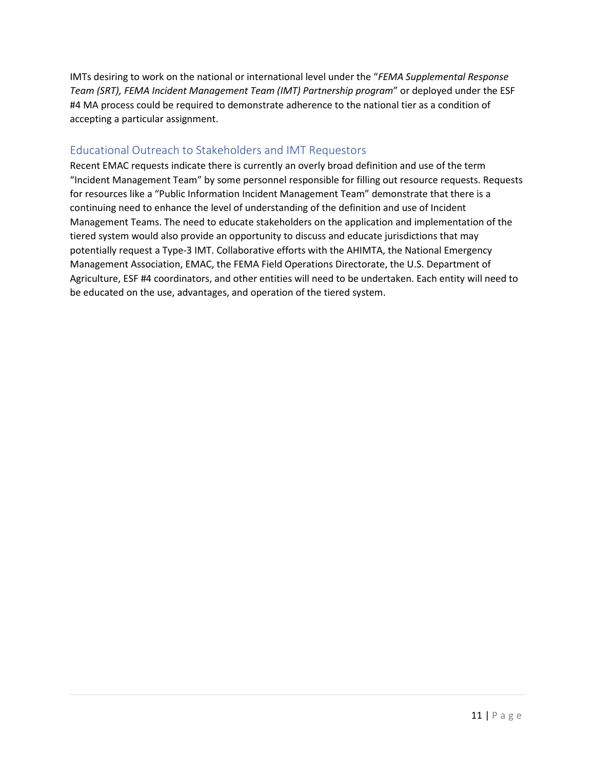IMTs desiring to work on the national or international level under the "*FEMA Supplemental Response Team (SRT), FEMA Incident Management Team (IMT) Partnership program*" or deployed under the ESF #4 MA process could be required to demonstrate adherence to the national tier as a condition of accepting a particular assignment.

### <span id="page-10-0"></span>Educational Outreach to Stakeholders and IMT Requestors

Recent EMAC requests indicate there is currently an overly broad definition and use of the term "Incident Management Team" by some personnel responsible for filling out resource requests. Requests for resources like a "Public Information Incident Management Team" demonstrate that there is a continuing need to enhance the level of understanding of the definition and use of Incident Management Teams. The need to educate stakeholders on the application and implementation of the tiered system would also provide an opportunity to discuss and educate jurisdictions that may potentially request a Type-3 IMT. Collaborative efforts with the AHIMTA, the National Emergency Management Association, EMAC, the FEMA Field Operations Directorate, the U.S. Department of Agriculture, ESF #4 coordinators, and other entities will need to be undertaken. Each entity will need to be educated on the use, advantages, and operation of the tiered system.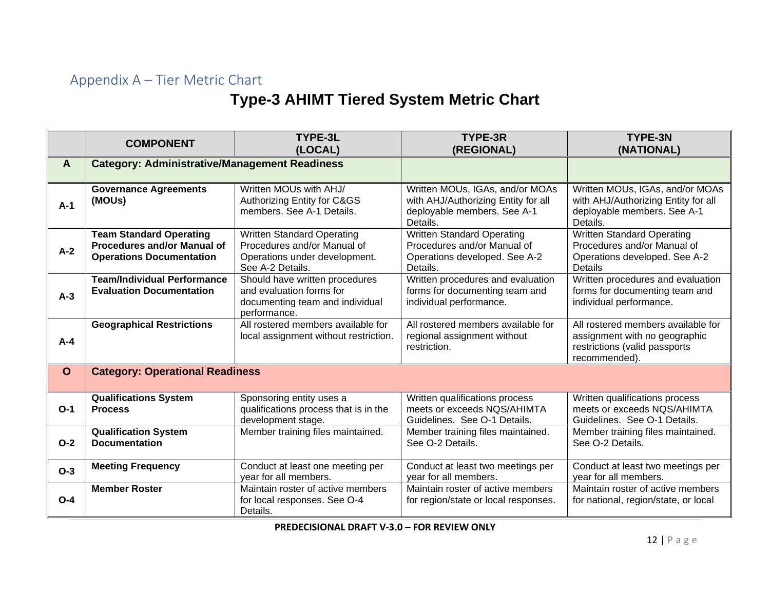# Appendix A – Tier Metric Chart

# **Type-3 AHIMT Tiered System Metric Chart**

<span id="page-11-0"></span>

|             | <b>COMPONENT</b>                                     | <b>TYPE-3L</b>                                  | TYPE-3R                                 | <b>TYPE-3N</b>                          |
|-------------|------------------------------------------------------|-------------------------------------------------|-----------------------------------------|-----------------------------------------|
|             |                                                      | (LOCAL)                                         | (REGIONAL)                              | (NATIONAL)                              |
| A           | <b>Category: Administrative/Management Readiness</b> |                                                 |                                         |                                         |
|             |                                                      |                                                 |                                         |                                         |
|             | <b>Governance Agreements</b>                         | Written MOUs with AHJ/                          | Written MOUs, IGAs, and/or MOAs         | Written MOUs, IGAs, and/or MOAs         |
| $A-1$       | (MOUs)                                               | Authorizing Entity for C&GS                     | with AHJ/Authorizing Entity for all     | with AHJ/Authorizing Entity for all     |
|             |                                                      | members. See A-1 Details.                       | deployable members. See A-1<br>Details. | deployable members. See A-1<br>Details. |
|             | <b>Team Standard Operating</b>                       | <b>Written Standard Operating</b>               | <b>Written Standard Operating</b>       | <b>Written Standard Operating</b>       |
|             | Procedures and/or Manual of                          | Procedures and/or Manual of                     | Procedures and/or Manual of             | Procedures and/or Manual of             |
| $A-2$       | <b>Operations Documentation</b>                      | Operations under development.                   | Operations developed. See A-2           | Operations developed. See A-2           |
|             |                                                      | See A-2 Details.                                | Details.                                | <b>Details</b>                          |
|             | <b>Team/Individual Performance</b>                   | Should have written procedures                  | Written procedures and evaluation       | Written procedures and evaluation       |
| $A-3$       | <b>Evaluation Documentation</b>                      | and evaluation forms for                        | forms for documenting team and          | forms for documenting team and          |
|             |                                                      | documenting team and individual<br>performance. | individual performance.                 | individual performance.                 |
|             | <b>Geographical Restrictions</b>                     | All rostered members available for              | All rostered members available for      | All rostered members available for      |
|             |                                                      | local assignment without restriction.           | regional assignment without             | assignment with no geographic           |
| $A - 4$     |                                                      |                                                 | restriction.                            | restrictions (valid passports           |
|             |                                                      |                                                 |                                         | recommended).                           |
| $\mathbf O$ | <b>Category: Operational Readiness</b>               |                                                 |                                         |                                         |
|             |                                                      |                                                 |                                         |                                         |
|             | <b>Qualifications System</b>                         | Sponsoring entity uses a                        | Written qualifications process          | Written qualifications process          |
| $O-1$       | <b>Process</b>                                       | qualifications process that is in the           | meets or exceeds NQS/AHIMTA             | meets or exceeds NQS/AHIMTA             |
|             |                                                      | development stage.                              | Guidelines. See O-1 Details.            | Guidelines. See O-1 Details.            |
|             | <b>Qualification System</b>                          | Member training files maintained.               | Member training files maintained.       | Member training files maintained.       |
| $O-2$       | <b>Documentation</b>                                 |                                                 | See O-2 Details.                        | See O-2 Details.                        |
| $O-3$       | <b>Meeting Frequency</b>                             | Conduct at least one meeting per                | Conduct at least two meetings per       | Conduct at least two meetings per       |
|             |                                                      | year for all members.                           | vear for all members.                   | year for all members.                   |
|             | <b>Member Roster</b>                                 | Maintain roster of active members               | Maintain roster of active members       | Maintain roster of active members       |
| $O - 4$     |                                                      | for local responses. See O-4                    | for region/state or local responses.    | for national, region/state, or local    |
|             |                                                      | Details.                                        |                                         |                                         |

**PREDECISIONAL DRAFT V-3.0 – FOR REVIEW ONLY**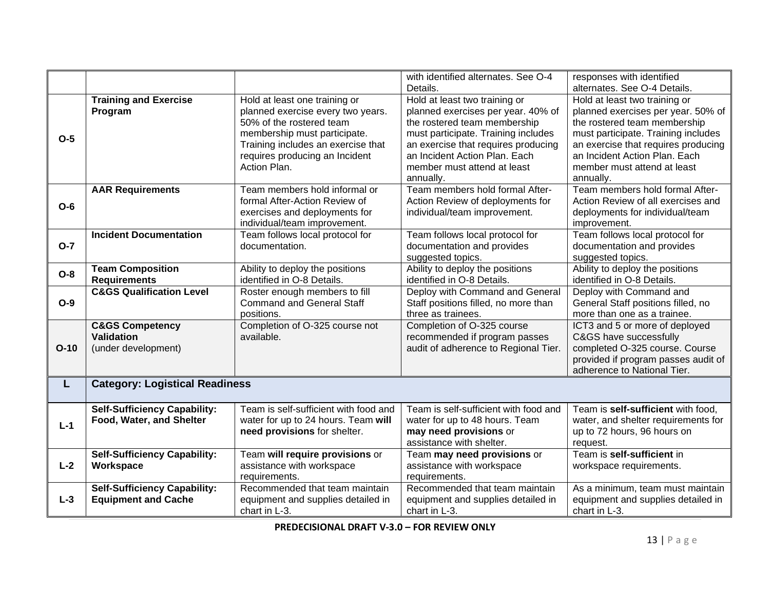|        |                                                |                                                                      | with identified alternates. See O-4                                  | responses with identified                                            |
|--------|------------------------------------------------|----------------------------------------------------------------------|----------------------------------------------------------------------|----------------------------------------------------------------------|
|        |                                                |                                                                      | Details.                                                             | alternates. See O-4 Details.                                         |
|        | <b>Training and Exercise</b>                   | Hold at least one training or                                        | Hold at least two training or                                        | Hold at least two training or                                        |
|        | Program                                        | planned exercise every two years.                                    | planned exercises per year. 40% of                                   | planned exercises per year. 50% of                                   |
|        |                                                | 50% of the rostered team                                             | the rostered team membership                                         | the rostered team membership                                         |
| $O-5$  |                                                | membership must participate.                                         | must participate. Training includes                                  | must participate. Training includes                                  |
|        |                                                | Training includes an exercise that<br>requires producing an Incident | an exercise that requires producing<br>an Incident Action Plan. Each | an exercise that requires producing<br>an Incident Action Plan. Each |
|        |                                                | Action Plan.                                                         | member must attend at least                                          | member must attend at least                                          |
|        |                                                |                                                                      | annually.                                                            | annually.                                                            |
|        | <b>AAR Requirements</b>                        | Team members hold informal or                                        | Team members hold formal After-                                      | Team members hold formal After-                                      |
| $O-6$  |                                                | formal After-Action Review of                                        | Action Review of deployments for                                     | Action Review of all exercises and                                   |
|        |                                                | exercises and deployments for                                        | individual/team improvement.                                         | deployments for individual/team                                      |
|        |                                                | individual/team improvement.                                         |                                                                      | improvement.                                                         |
|        | <b>Incident Documentation</b>                  | Team follows local protocol for                                      | Team follows local protocol for                                      | Team follows local protocol for                                      |
| $O-7$  |                                                | documentation.                                                       | documentation and provides                                           | documentation and provides                                           |
|        |                                                |                                                                      | suggested topics.                                                    | suggested topics.                                                    |
| $O-8$  | <b>Team Composition</b><br><b>Requirements</b> | Ability to deploy the positions<br>identified in O-8 Details.        | Ability to deploy the positions<br>identified in O-8 Details.        | Ability to deploy the positions<br>identified in O-8 Details.        |
|        | <b>C&amp;GS Qualification Level</b>            | Roster enough members to fill                                        | Deploy with Command and General                                      | Deploy with Command and                                              |
| $O-9$  |                                                | <b>Command and General Staff</b>                                     | Staff positions filled, no more than                                 | General Staff positions filled, no                                   |
|        |                                                | positions.                                                           | three as trainees.                                                   | more than one as a trainee.                                          |
|        | <b>C&amp;GS Competency</b>                     | Completion of O-325 course not                                       | Completion of O-325 course                                           | ICT3 and 5 or more of deployed                                       |
|        | <b>Validation</b>                              | available.                                                           | recommended if program passes                                        | C&GS have successfully                                               |
| $O-10$ | (under development)                            |                                                                      | audit of adherence to Regional Tier.                                 | completed O-325 course. Course                                       |
|        |                                                |                                                                      |                                                                      | provided if program passes audit of                                  |
|        |                                                |                                                                      |                                                                      | adherence to National Tier.                                          |
|        | <b>Category: Logistical Readiness</b><br>L     |                                                                      |                                                                      |                                                                      |
|        |                                                |                                                                      |                                                                      |                                                                      |
|        | <b>Self-Sufficiency Capability:</b>            | Team is self-sufficient with food and                                | Team is self-sufficient with food and                                | Team is self-sufficient with food,                                   |
| $L-1$  | Food, Water, and Shelter                       | water for up to 24 hours. Team will                                  | water for up to 48 hours. Team                                       | water, and shelter requirements for                                  |
|        |                                                | need provisions for shelter.                                         | may need provisions or<br>assistance with shelter.                   | up to 72 hours, 96 hours on<br>request.                              |
|        | <b>Self-Sufficiency Capability:</b>            | Team will require provisions or                                      | Team may need provisions or                                          | Team is self-sufficient in                                           |
| $L-2$  | Workspace                                      | assistance with workspace                                            | assistance with workspace                                            | workspace requirements.                                              |
|        |                                                | requirements.                                                        | requirements.                                                        |                                                                      |
|        | <b>Self-Sufficiency Capability:</b>            | Recommended that team maintain                                       | Recommended that team maintain                                       | As a minimum, team must maintain                                     |
| $L-3$  | <b>Equipment and Cache</b>                     | equipment and supplies detailed in                                   | equipment and supplies detailed in                                   | equipment and supplies detailed in                                   |
|        |                                                | chart in L-3.                                                        | chart in L-3.                                                        | chart in L-3.                                                        |

**PREDECISIONAL DRAFT V-3.0 – FOR REVIEW ONLY**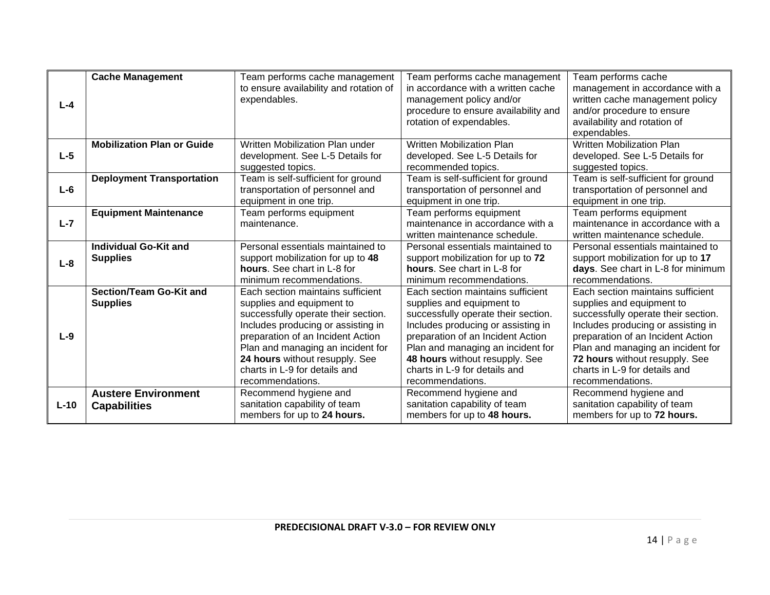|         | <b>Cache Management</b>           | Team performs cache management         | Team performs cache management       | Team performs cache                          |
|---------|-----------------------------------|----------------------------------------|--------------------------------------|----------------------------------------------|
|         |                                   | to ensure availability and rotation of | in accordance with a written cache   | management in accordance with a              |
| $L - 4$ |                                   | expendables.                           | management policy and/or             | written cache management policy              |
|         |                                   |                                        | procedure to ensure availability and | and/or procedure to ensure                   |
|         |                                   |                                        | rotation of expendables.             | availability and rotation of<br>expendables. |
|         | <b>Mobilization Plan or Guide</b> | Written Mobilization Plan under        | <b>Written Mobilization Plan</b>     | Written Mobilization Plan                    |
| $L-5$   |                                   | development. See L-5 Details for       | developed. See L-5 Details for       | developed. See L-5 Details for               |
|         |                                   | suggested topics.                      | recommended topics.                  | suggested topics.                            |
|         | <b>Deployment Transportation</b>  | Team is self-sufficient for ground     | Team is self-sufficient for ground   | Team is self-sufficient for ground           |
| $L-6$   |                                   | transportation of personnel and        | transportation of personnel and      | transportation of personnel and              |
|         |                                   | equipment in one trip.                 | equipment in one trip.               | equipment in one trip.                       |
|         | <b>Equipment Maintenance</b>      | Team performs equipment                | Team performs equipment              | Team performs equipment                      |
| $L - 7$ |                                   | maintenance.                           | maintenance in accordance with a     | maintenance in accordance with a             |
|         |                                   |                                        | written maintenance schedule.        | written maintenance schedule.                |
|         | <b>Individual Go-Kit and</b>      | Personal essentials maintained to      | Personal essentials maintained to    | Personal essentials maintained to            |
| $L-8$   | <b>Supplies</b>                   | support mobilization for up to 48      | support mobilization for up to 72    | support mobilization for up to 17            |
|         |                                   | hours. See chart in L-8 for            | hours. See chart in L-8 for          | days. See chart in L-8 for minimum           |
|         |                                   | minimum recommendations.               | minimum recommendations.             | recommendations.                             |
|         | Section/Team Go-Kit and           | Each section maintains sufficient      | Each section maintains sufficient    | Each section maintains sufficient            |
|         | <b>Supplies</b>                   | supplies and equipment to              | supplies and equipment to            | supplies and equipment to                    |
|         |                                   | successfully operate their section.    | successfully operate their section.  | successfully operate their section.          |
|         |                                   | Includes producing or assisting in     | Includes producing or assisting in   | Includes producing or assisting in           |
| $L-9$   |                                   | preparation of an Incident Action      | preparation of an Incident Action    | preparation of an Incident Action            |
|         |                                   | Plan and managing an incident for      | Plan and managing an incident for    | Plan and managing an incident for            |
|         |                                   | 24 hours without resupply. See         | 48 hours without resupply. See       | 72 hours without resupply. See               |
|         |                                   | charts in L-9 for details and          | charts in L-9 for details and        | charts in L-9 for details and                |
|         |                                   | recommendations.                       | recommendations.                     | recommendations.                             |
|         | <b>Austere Environment</b>        | Recommend hygiene and                  | Recommend hygiene and                | Recommend hygiene and                        |
| $L-10$  | <b>Capabilities</b>               | sanitation capability of team          | sanitation capability of team        | sanitation capability of team                |
|         |                                   | members for up to 24 hours.            | members for up to 48 hours.          | members for up to 72 hours.                  |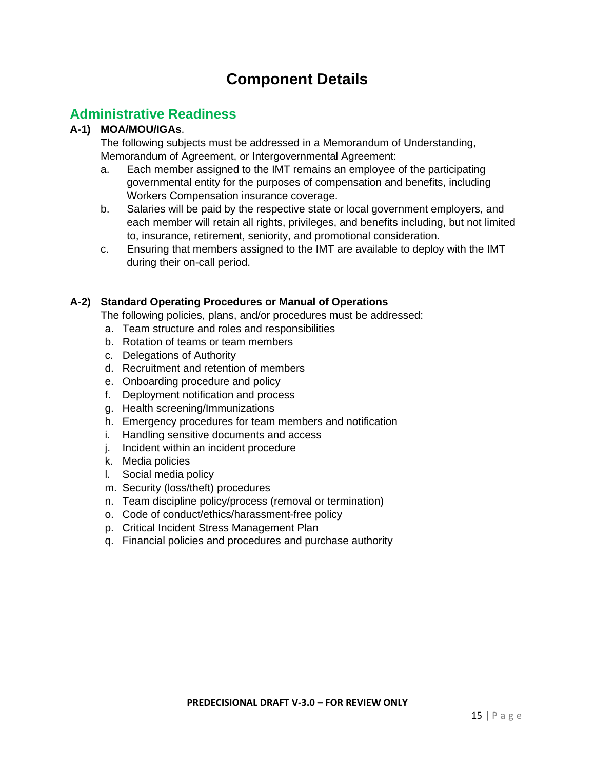# **Component Details**

## **Administrative Readiness**

### **A-1) MOA/MOU/IGAs**.

The following subjects must be addressed in a Memorandum of Understanding, Memorandum of Agreement, or Intergovernmental Agreement:

- a. Each member assigned to the IMT remains an employee of the participating governmental entity for the purposes of compensation and benefits, including Workers Compensation insurance coverage.
- b. Salaries will be paid by the respective state or local government employers, and each member will retain all rights, privileges, and benefits including, but not limited to, insurance, retirement, seniority, and promotional consideration.
- c. Ensuring that members assigned to the IMT are available to deploy with the IMT during their on-call period.

#### **A-2) Standard Operating Procedures or Manual of Operations**

The following policies, plans, and/or procedures must be addressed:

- a. Team structure and roles and responsibilities
- b. Rotation of teams or team members
- c. Delegations of Authority
- d. Recruitment and retention of members
- e. Onboarding procedure and policy
- f. Deployment notification and process
- g. Health screening/Immunizations
- h. Emergency procedures for team members and notification
- i. Handling sensitive documents and access
- j. Incident within an incident procedure
- k. Media policies
- l. Social media policy
- m. Security (loss/theft) procedures
- n. Team discipline policy/process (removal or termination)
- o. Code of conduct/ethics/harassment-free policy
- p. Critical Incident Stress Management Plan
- q. Financial policies and procedures and purchase authority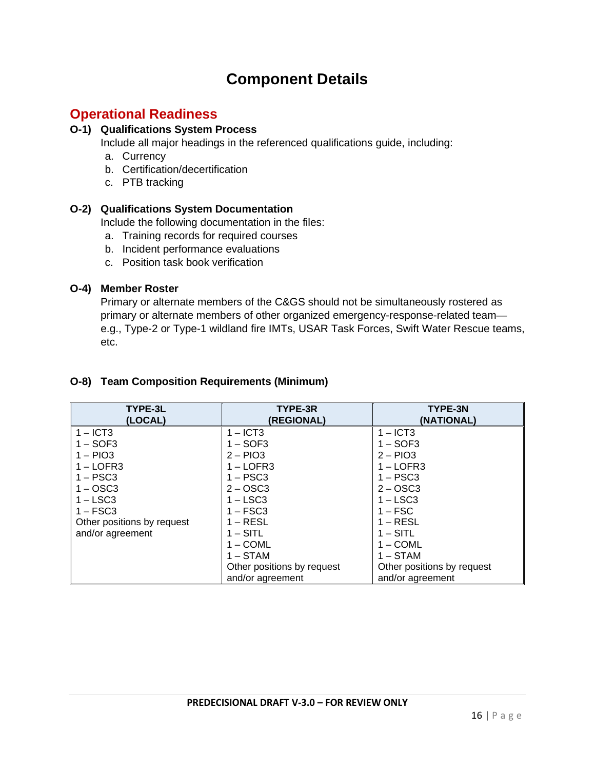# **Component Details**

## **Operational Readiness**

### **O-1) Qualifications System Process**

Include all major headings in the referenced qualifications guide, including:

- a. Currency
- b. Certification/decertification
- c. PTB tracking

### **O-2) Qualifications System Documentation**

Include the following documentation in the files:

- a. Training records for required courses
- b. Incident performance evaluations
- c. Position task book verification

### **O-4) Member Roster**

Primary or alternate members of the C&GS should not be simultaneously rostered as primary or alternate members of other organized emergency-response-related team e.g., Type-2 or Type-1 wildland fire IMTs, USAR Task Forces, Swift Water Rescue teams, etc.

| TYPE-3L<br>(LOCAL)         | TYPE-3R<br>(REGIONAL)      | TYPE-3N<br>(NATIONAL)      |
|----------------------------|----------------------------|----------------------------|
| $1 - ICT3$                 | $1 -$ ICT3                 | $1 -$ ICT3                 |
| $1 - SOF3$                 | $1 - SOF3$                 | $1 - SOF3$                 |
| $1 - PIO3$                 | $2 - P103$                 | $2 - P103$                 |
| $1 -$ LOFR3                | $1 -$ LOFR3                | $1 - LOFR3$                |
| $1 - PSC3$                 | $1 - PSC3$                 | $1 - PSC3$                 |
| $1 -$ OSC3                 | $2 - OSC3$                 | $2 - OSC3$                 |
| $1 -$ LSC3                 | $1 -$ LSC3                 | $1 -$ LSC3                 |
| $1 - FSC3$                 | $1 - FSC3$                 | $1 - FSC$                  |
| Other positions by request | $1 - RESL$                 | $1 - RESL$                 |
| and/or agreement           | $1 - SITL$                 | $1 - SITL$                 |
|                            | $1 - COML$                 | $1 - COML$                 |
|                            | $1 - STAM$                 | $1 - STAM$                 |
|                            | Other positions by request | Other positions by request |
|                            | and/or agreement           | and/or agreement           |

### **O-8) Team Composition Requirements (Minimum)**